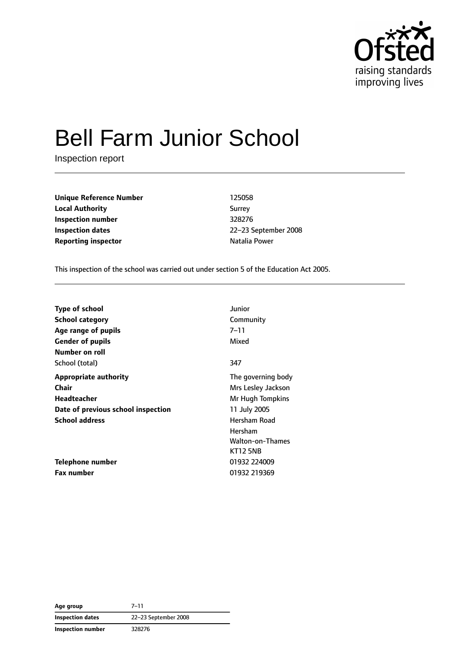

# Bell Farm Junior School

Inspection report

**Unique Reference Number** 125058 **Local Authority** Surrey **Inspection number** 328276 **Inspection dates** 22–23 September 2008 **Reporting inspector Natalia Power Natalia Power** 

This inspection of the school was carried out under section 5 of the Education Act 2005.

|                                    | Junior             |
|------------------------------------|--------------------|
| <b>Type of school</b>              |                    |
| <b>School category</b>             | Community          |
| Age range of pupils                | $7 - 11$           |
| <b>Gender of pupils</b>            | Mixed              |
| Number on roll                     |                    |
| School (total)                     | 347                |
| <b>Appropriate authority</b>       | The governing body |
| <b>Chair</b>                       | Mrs Lesley Jackson |
| Headteacher                        | Mr Hugh Tompkins   |
| Date of previous school inspection | 11 July 2005       |
| <b>School address</b>              | Hersham Road       |
|                                    | Hersham            |
|                                    | Walton-on-Thames   |
|                                    | <b>KT12 5NB</b>    |
| Telephone number                   | 01932 224009       |
| <b>Fax number</b>                  | 01932 219369       |

**Age group** 7–11 **Inspection dates** 22–23 September 2008 **Inspection number** 328276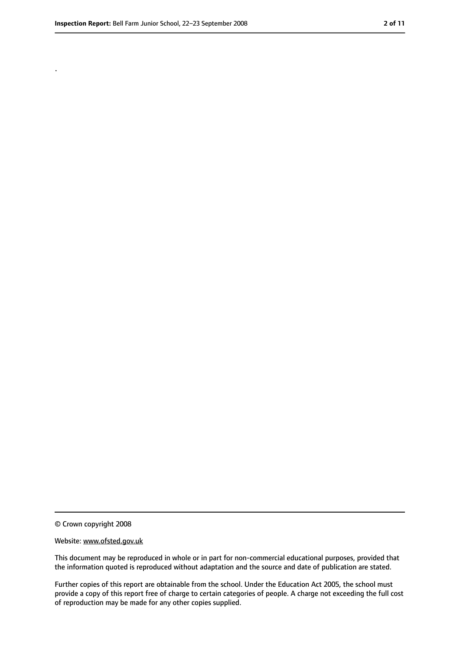.

<sup>©</sup> Crown copyright 2008

Website: www.ofsted.gov.uk

This document may be reproduced in whole or in part for non-commercial educational purposes, provided that the information quoted is reproduced without adaptation and the source and date of publication are stated.

Further copies of this report are obtainable from the school. Under the Education Act 2005, the school must provide a copy of this report free of charge to certain categories of people. A charge not exceeding the full cost of reproduction may be made for any other copies supplied.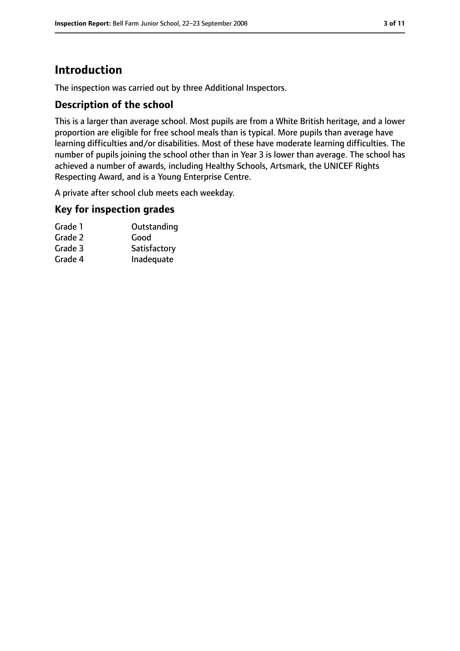# **Introduction**

The inspection was carried out by three Additional Inspectors.

#### **Description of the school**

This is a larger than average school. Most pupils are from a White British heritage, and a lower proportion are eligible for free school meals than is typical. More pupils than average have learning difficulties and/or disabilities. Most of these have moderate learning difficulties. The number of pupils joining the school other than in Year 3 is lower than average. The school has achieved a number of awards, including Healthy Schools, Artsmark, the UNICEF Rights Respecting Award, and is a Young Enterprise Centre.

A private after school club meets each weekday.

#### **Key for inspection grades**

| Grade 1 | Outstanding  |
|---------|--------------|
| Grade 2 | Good         |
| Grade 3 | Satisfactory |
| Grade 4 | Inadequate   |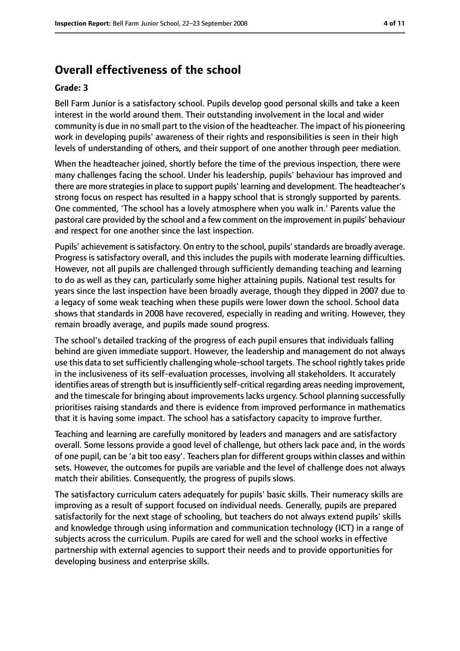# **Overall effectiveness of the school**

#### **Grade: 3**

Bell Farm Junior is a satisfactory school. Pupils develop good personal skills and take a keen interest in the world around them. Their outstanding involvement in the local and wider community is due in no small part to the vision of the headteacher. The impact of his pioneering work in developing pupils' awareness of their rights and responsibilities is seen in their high levels of understanding of others, and their support of one another through peer mediation.

When the headteacher joined, shortly before the time of the previous inspection, there were many challenges facing the school. Under his leadership, pupils' behaviour has improved and there are more strategiesin place to support pupils' learning and development. The headteacher's strong focus on respect has resulted in a happy school that is strongly supported by parents. One commented, 'The school has a lovely atmosphere when you walk in.' Parents value the pastoral care provided by the school and a few comment on the improvement in pupils' behaviour and respect for one another since the last inspection.

Pupils' achievement is satisfactory. On entry to the school, pupils' standards are broadly average. Progress is satisfactory overall, and this includes the pupils with moderate learning difficulties. However, not all pupils are challenged through sufficiently demanding teaching and learning to do as well as they can, particularly some higher attaining pupils. National test results for years since the last inspection have been broadly average, though they dipped in 2007 due to a legacy of some weak teaching when these pupils were lower down the school. School data shows that standards in 2008 have recovered, especially in reading and writing. However, they remain broadly average, and pupils made sound progress.

The school's detailed tracking of the progress of each pupil ensures that individuals falling behind are given immediate support. However, the leadership and management do not always use this data to set sufficiently challenging whole-school targets. The school rightly takes pride in the inclusiveness of its self-evaluation processes, involving all stakeholders. It accurately identifies areas of strength but is insufficiently self-critical regarding areas needing improvement, and the timescale for bringing about improvements lacks urgency. School planning successfully prioritises raising standards and there is evidence from improved performance in mathematics that it is having some impact. The school has a satisfactory capacity to improve further.

Teaching and learning are carefully monitored by leaders and managers and are satisfactory overall. Some lessons provide a good level of challenge, but others lack pace and, in the words of one pupil, can be 'a bit too easy'. Teachers plan for different groups within classes and within sets. However, the outcomes for pupils are variable and the level of challenge does not always match their abilities. Consequently, the progress of pupils slows.

The satisfactory curriculum caters adequately for pupils' basic skills. Their numeracy skills are improving as a result of support focused on individual needs. Generally, pupils are prepared satisfactorily for the next stage of schooling, but teachers do not always extend pupils' skills and knowledge through using information and communication technology (ICT) in a range of subjects across the curriculum. Pupils are cared for well and the school works in effective partnership with external agencies to support their needs and to provide opportunities for developing business and enterprise skills.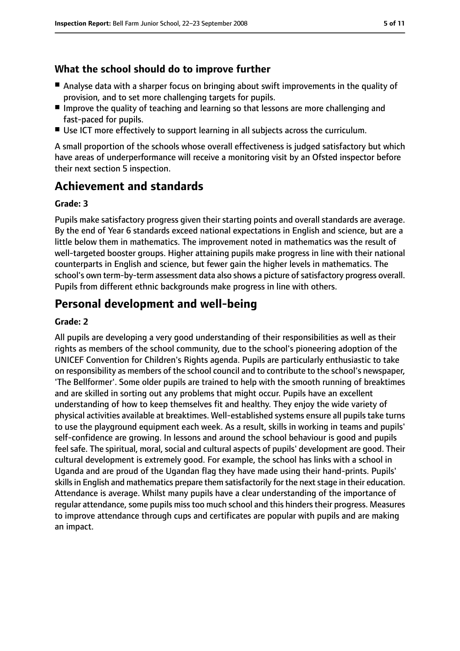#### **What the school should do to improve further**

- Analyse data with a sharper focus on bringing about swift improvements in the quality of provision, and to set more challenging targets for pupils.
- Improve the quality of teaching and learning so that lessons are more challenging and fast-paced for pupils.
- Use ICT more effectively to support learning in all subjects across the curriculum.

A small proportion of the schools whose overall effectiveness is judged satisfactory but which have areas of underperformance will receive a monitoring visit by an Ofsted inspector before their next section 5 inspection.

# **Achievement and standards**

#### **Grade: 3**

Pupils make satisfactory progress given their starting points and overall standards are average. By the end of Year 6 standards exceed national expectations in English and science, but are a little below them in mathematics. The improvement noted in mathematics was the result of well-targeted booster groups. Higher attaining pupils make progress in line with their national counterparts in English and science, but fewer gain the higher levels in mathematics. The school's own term-by-term assessment data also shows a picture of satisfactory progress overall. Pupils from different ethnic backgrounds make progress in line with others.

# **Personal development and well-being**

#### **Grade: 2**

All pupils are developing a very good understanding of their responsibilities as well as their rights as members of the school community, due to the school's pioneering adoption of the UNICEF Convention for Children's Rights agenda. Pupils are particularly enthusiastic to take on responsibility as members of the school council and to contribute to the school's newspaper, 'The Bellformer'. Some older pupils are trained to help with the smooth running of breaktimes and are skilled in sorting out any problems that might occur. Pupils have an excellent understanding of how to keep themselves fit and healthy. They enjoy the wide variety of physical activities available at breaktimes. Well-established systems ensure all pupils take turns to use the playground equipment each week. As a result, skills in working in teams and pupils' self-confidence are growing. In lessons and around the school behaviour is good and pupils feel safe. The spiritual, moral, social and cultural aspects of pupils' development are good. Their cultural development is extremely good. For example, the school has links with a school in Uganda and are proud of the Ugandan flag they have made using their hand-prints. Pupils' skills in English and mathematics prepare them satisfactorily for the next stage in their education. Attendance is average. Whilst many pupils have a clear understanding of the importance of regular attendance, some pupils miss too much school and this hinders their progress. Measures to improve attendance through cups and certificates are popular with pupils and are making an impact.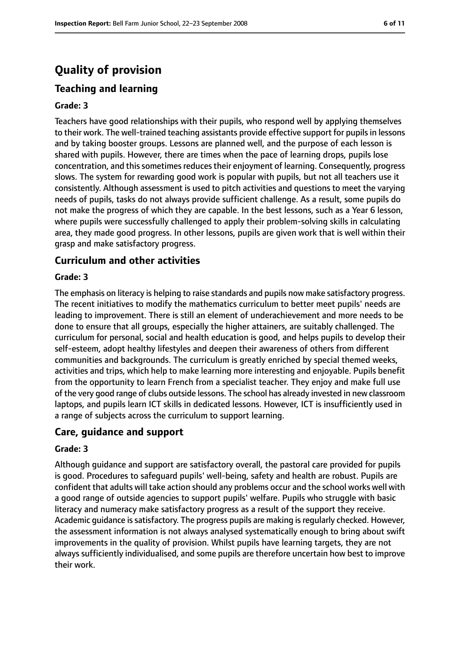# **Quality of provision**

### **Teaching and learning**

#### **Grade: 3**

Teachers have good relationships with their pupils, who respond well by applying themselves to their work. The well-trained teaching assistants provide effective support for pupils in lessons and by taking booster groups. Lessons are planned well, and the purpose of each lesson is shared with pupils. However, there are times when the pace of learning drops, pupils lose concentration, and this sometimes reduces their enjoyment of learning. Consequently, progress slows. The system for rewarding good work is popular with pupils, but not all teachers use it consistently. Although assessment is used to pitch activities and questions to meet the varying needs of pupils, tasks do not always provide sufficient challenge. As a result, some pupils do not make the progress of which they are capable. In the best lessons, such as a Year 6 lesson, where pupils were successfully challenged to apply their problem-solving skills in calculating area, they made good progress. In other lessons, pupils are given work that is well within their grasp and make satisfactory progress.

#### **Curriculum and other activities**

#### **Grade: 3**

The emphasis on literacy is helping to raise standards and pupils now make satisfactory progress. The recent initiatives to modify the mathematics curriculum to better meet pupils' needs are leading to improvement. There is still an element of underachievement and more needs to be done to ensure that all groups, especially the higher attainers, are suitably challenged. The curriculum for personal, social and health education is good, and helps pupils to develop their self-esteem, adopt healthy lifestyles and deepen their awareness of others from different communities and backgrounds. The curriculum is greatly enriched by special themed weeks, activities and trips, which help to make learning more interesting and enjoyable. Pupils benefit from the opportunity to learn French from a specialist teacher. They enjoy and make full use of the very good range of clubs outside lessons. The school has already invested in new classroom laptops, and pupils learn ICT skills in dedicated lessons. However, ICT is insufficiently used in a range of subjects across the curriculum to support learning.

#### **Care, guidance and support**

#### **Grade: 3**

Although guidance and support are satisfactory overall, the pastoral care provided for pupils is good. Procedures to safeguard pupils' well-being, safety and health are robust. Pupils are confident that adults will take action should any problems occur and the school works well with a good range of outside agencies to support pupils' welfare. Pupils who struggle with basic literacy and numeracy make satisfactory progress as a result of the support they receive. Academic guidance issatisfactory. The progress pupils are making isregularly checked. However, the assessment information is not always analysed systematically enough to bring about swift improvements in the quality of provision. Whilst pupils have learning targets, they are not always sufficiently individualised, and some pupils are therefore uncertain how best to improve their work.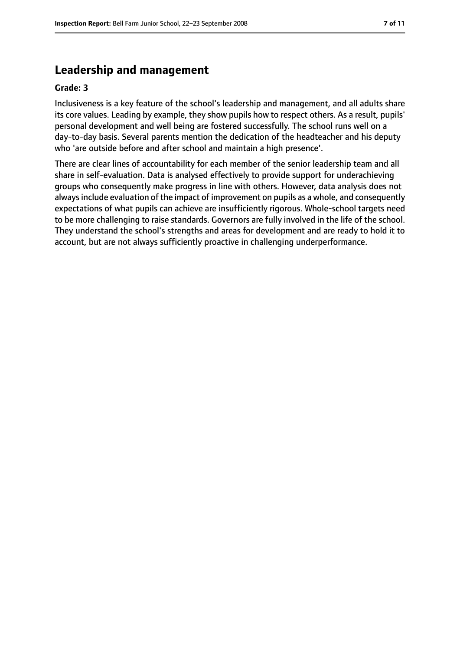# **Leadership and management**

#### **Grade: 3**

Inclusiveness is a key feature of the school's leadership and management, and all adults share its core values. Leading by example, they show pupils how to respect others. As a result, pupils' personal development and well being are fostered successfully. The school runs well on a day-to-day basis. Several parents mention the dedication of the headteacher and his deputy who 'are outside before and after school and maintain a high presence'.

There are clear lines of accountability for each member of the senior leadership team and all share in self-evaluation. Data is analysed effectively to provide support for underachieving groups who consequently make progress in line with others. However, data analysis does not always include evaluation of the impact of improvement on pupils as a whole, and consequently expectations of what pupils can achieve are insufficiently rigorous. Whole-school targets need to be more challenging to raise standards. Governors are fully involved in the life of the school. They understand the school's strengths and areas for development and are ready to hold it to account, but are not always sufficiently proactive in challenging underperformance.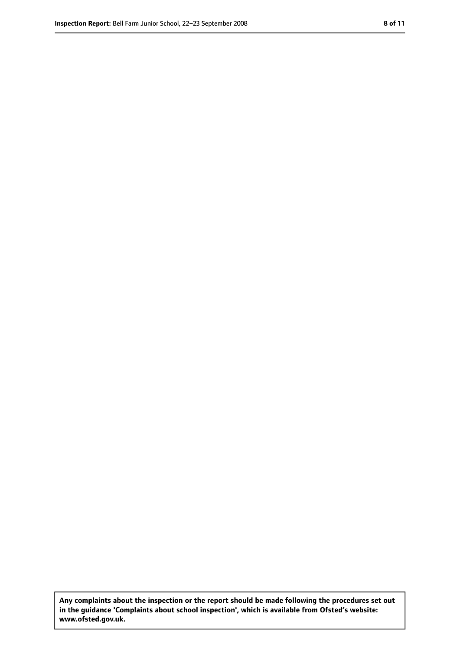**Any complaints about the inspection or the report should be made following the procedures set out in the guidance 'Complaints about school inspection', which is available from Ofsted's website: www.ofsted.gov.uk.**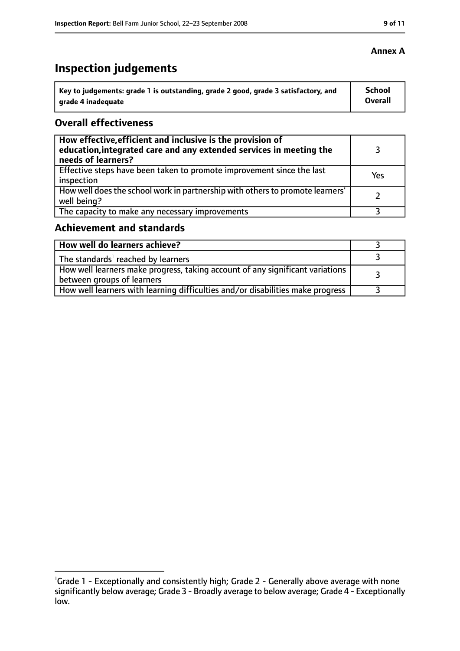# **Inspection judgements**

| Key to judgements: grade 1 is outstanding, grade 2 good, grade 3 satisfactory, and | School  |
|------------------------------------------------------------------------------------|---------|
| arade 4 inadequate                                                                 | Overall |

#### **Overall effectiveness**

| How effective, efficient and inclusive is the provision of<br>education, integrated care and any extended services in meeting the<br>needs of learners? |     |
|---------------------------------------------------------------------------------------------------------------------------------------------------------|-----|
| Effective steps have been taken to promote improvement since the last<br>inspection                                                                     | Yes |
| How well does the school work in partnership with others to promote learners'<br>well being?                                                            |     |
| The capacity to make any necessary improvements                                                                                                         |     |

# **Achievement and standards**

| How well do learners achieve?                                                                                 |  |
|---------------------------------------------------------------------------------------------------------------|--|
| The standards <sup>1</sup> reached by learners                                                                |  |
| How well learners make progress, taking account of any significant variations  <br>between groups of learners |  |
| How well learners with learning difficulties and/or disabilities make progress                                |  |

#### **Annex A**

<sup>&</sup>lt;sup>1</sup>Grade 1 - Exceptionally and consistently high; Grade 2 - Generally above average with none significantly below average; Grade 3 - Broadly average to below average; Grade 4 - Exceptionally low.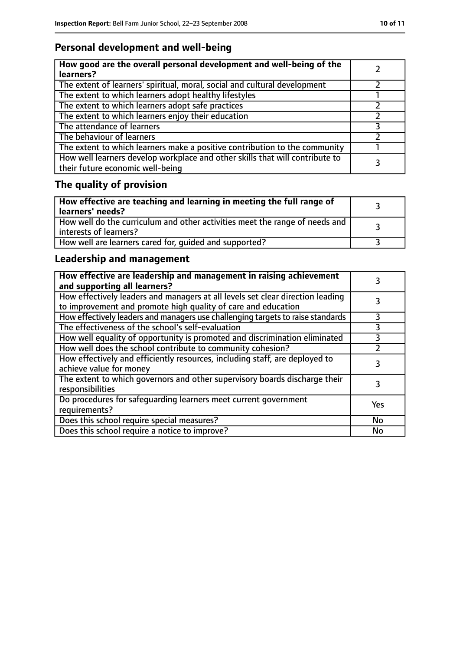# **Personal development and well-being**

| How good are the overall personal development and well-being of the<br>learners?                                 |  |
|------------------------------------------------------------------------------------------------------------------|--|
| The extent of learners' spiritual, moral, social and cultural development                                        |  |
| The extent to which learners adopt healthy lifestyles                                                            |  |
| The extent to which learners adopt safe practices                                                                |  |
| The extent to which learners enjoy their education                                                               |  |
| The attendance of learners                                                                                       |  |
| The behaviour of learners                                                                                        |  |
| The extent to which learners make a positive contribution to the community                                       |  |
| How well learners develop workplace and other skills that will contribute to<br>their future economic well-being |  |

# **The quality of provision**

| $\mid$ How effective are teaching and learning in meeting the full range of<br>  learners' needs?       |  |
|---------------------------------------------------------------------------------------------------------|--|
| How well do the curriculum and other activities meet the range of needs and<br>  interests of learners? |  |
| How well are learners cared for, quided and supported?                                                  |  |

# **Leadership and management**

| How effective are leadership and management in raising achievement<br>and supporting all learners?                                              |     |
|-------------------------------------------------------------------------------------------------------------------------------------------------|-----|
| How effectively leaders and managers at all levels set clear direction leading<br>to improvement and promote high quality of care and education |     |
| How effectively leaders and managers use challenging targets to raise standards                                                                 |     |
| The effectiveness of the school's self-evaluation                                                                                               | 3   |
| How well equality of opportunity is promoted and discrimination eliminated                                                                      | 3   |
| How well does the school contribute to community cohesion?                                                                                      |     |
| How effectively and efficiently resources, including staff, are deployed to<br>achieve value for money                                          | 3   |
| The extent to which governors and other supervisory boards discharge their<br>responsibilities                                                  |     |
| Do procedures for safequarding learners meet current government<br>requirements?                                                                | Yes |
| Does this school require special measures?                                                                                                      | No  |
| Does this school require a notice to improve?                                                                                                   | No  |